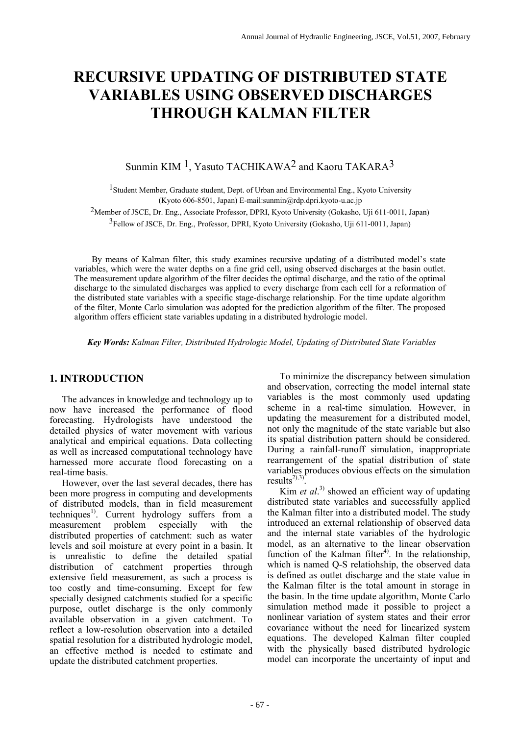# **RECURSIVE UPDATING OF DISTRIBUTED STATE VARIABLES USING OBSERVED DISCHARGES THROUGH KALMAN FILTER**

Sunmin KIM 1, Yasuto TACHIKAWA2 and Kaoru TAKARA3

1Student Member, Graduate student, Dept. of Urban and Environmental Eng., Kyoto University (Kyoto 606-8501, Japan) E-mail:sunmin@rdp.dpri.kyoto-u.ac.jp

2Member of JSCE, Dr. Eng., Associate Professor, DPRI, Kyoto University (Gokasho, Uji 611-0011, Japan) 3Fellow of JSCE, Dr. Eng., Professor, DPRI, Kyoto University (Gokasho, Uji 611-0011, Japan)

 By means of Kalman filter, this study examines recursive updating of a distributed model's state variables, which were the water depths on a fine grid cell, using observed discharges at the basin outlet. The measurement update algorithm of the filter decides the optimal discharge, and the ratio of the optimal discharge to the simulated discharges was applied to every discharge from each cell for a reformation of the distributed state variables with a specific stage-discharge relationship. For the time update algorithm of the filter, Monte Carlo simulation was adopted for the prediction algorithm of the filter. The proposed algorithm offers efficient state variables updating in a distributed hydrologic model.

 *Key Words: Kalman Filter, Distributed Hydrologic Model, Updating of Distributed State Variables* 

## **1. INTRODUCTION**

The advances in knowledge and technology up to now have increased the performance of flood forecasting. Hydrologists have understood the detailed physics of water movement with various analytical and empirical equations. Data collecting as well as increased computational technology have harnessed more accurate flood forecasting on a real-time basis.

However, over the last several decades, there has been more progress in computing and developments of distributed models, than in field measurement techniques<sup>1)</sup>. Current hydrology suffers from a measurement problem especially with the distributed properties of catchment: such as water levels and soil moisture at every point in a basin. It is unrealistic to define the detailed spatial distribution of catchment properties through extensive field measurement, as such a process is too costly and time-consuming. Except for few specially designed catchments studied for a specific purpose, outlet discharge is the only commonly available observation in a given catchment. To reflect a low-resolution observation into a detailed spatial resolution for a distributed hydrologic model, an effective method is needed to estimate and update the distributed catchment properties.

To minimize the discrepancy between simulation and observation, correcting the model internal state variables is the most commonly used updating scheme in a real-time simulation. However, in updating the measurement for a distributed model, not only the magnitude of the state variable but also its spatial distribution pattern should be considered. During a rainfall-runoff simulation, inappropriate rearrangement of the spatial distribution of state variables produces obvious effects on the simulation results $^{2),3}$ 

Kim *et al*. 3) showed an efficient way of updating distributed state variables and successfully applied the Kalman filter into a distributed model. The study introduced an external relationship of observed data and the internal state variables of the hydrologic model, as an alternative to the linear observation function of the Kalman filter<sup>4)</sup>. In the relationship, which is named Q-S relatiohship, the observed data is defined as outlet discharge and the state value in the Kalman filter is the total amount in storage in the basin. In the time update algorithm, Monte Carlo simulation method made it possible to project a nonlinear variation of system states and their error covariance without the need for linearized system equations. The developed Kalman filter coupled with the physically based distributed hydrologic model can incorporate the uncertainty of input and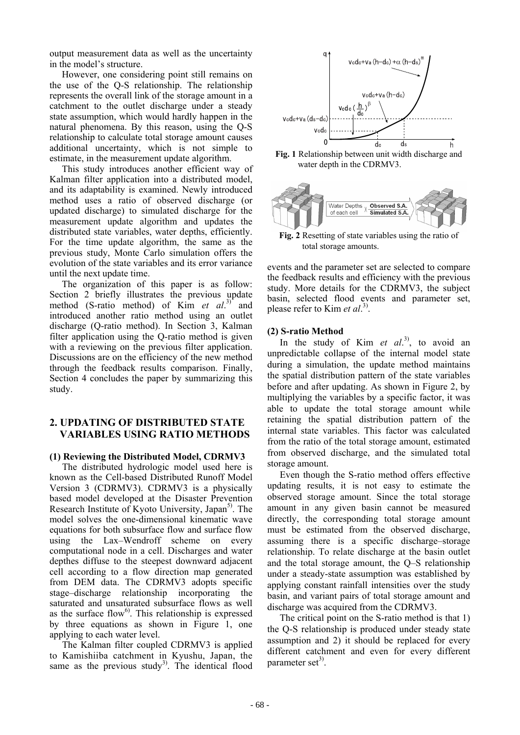output measurement data as well as the uncertainty in the model's structure.

However, one considering point still remains on the use of the Q-S relationship. The relationship represents the overall link of the storage amount in a catchment to the outlet discharge under a steady state assumption, which would hardly happen in the natural phenomena. By this reason, using the Q-S relationship to calculate total storage amount causes additional uncertainty, which is not simple to estimate, in the measurement update algorithm.

This study introduces another efficient way of Kalman filter application into a distributed model, and its adaptability is examined. Newly introduced method uses a ratio of observed discharge (or updated discharge) to simulated discharge for the measurement update algorithm and updates the distributed state variables, water depths, efficiently. For the time update algorithm, the same as the previous study, Monte Carlo simulation offers the evolution of the state variables and its error variance until the next update time.

The organization of this paper is as follow: Section 2 briefly illustrates the previous update method (S-ratio method) of Kim *et al.*<sup>3)</sup> and introduced another ratio method using an outlet discharge (Q-ratio method). In Section 3, Kalman filter application using the Q-ratio method is given with a reviewing on the previous filter application. Discussions are on the efficiency of the new method through the feedback results comparison. Finally, Section 4 concludes the paper by summarizing this study.

## **2. UPDATING OF DISTRIBUTED STATE VARIABLES USING RATIO METHODS**

#### **(1) Reviewing the Distributed Model, CDRMV3**

The distributed hydrologic model used here is known as the Cell-based Distributed Runoff Model Version 3 (CDRMV3). CDRMV3 is a physically based model developed at the Disaster Prevention Research Institute of Kyoto University, Japan<sup>5)</sup>. The model solves the one-dimensional kinematic wave equations for both subsurface flow and surface flow using the Lax–Wendroff scheme on every computational node in a cell. Discharges and water depthes diffuse to the steepest downward adjacent cell according to a flow direction map generated from DEM data. The CDRMV3 adopts specific stage–discharge relationship incorporating the saturated and unsaturated subsurface flows as well as the surface flow<sup>6)</sup>. This relationship is expressed by three equations as shown in Figure 1, one applying to each water level.

The Kalman filter coupled CDRMV3 is applied to Kamishiiba catchment in Kyushu, Japan, the same as the previous study<sup>3)</sup>. The identical flood



**Fig. 1** Relationship between unit width discharge and water depth in the CDRMV3.



**Fig. 2** Resetting of state variables using the ratio of total storage amounts.

events and the parameter set are selected to compare the feedback results and efficiency with the previous study. More details for the CDRMV3, the subject basin, selected flood events and parameter set, please refer to Kim *et al*. 3).

#### **(2) S-ratio Method**

In the study of Kim  $et \text{ } al.^{3}$ , to avoid an unpredictable collapse of the internal model state during a simulation, the update method maintains the spatial distribution pattern of the state variables before and after updating. As shown in Figure 2, by multiplying the variables by a specific factor, it was able to update the total storage amount while retaining the spatial distribution pattern of the internal state variables. This factor was calculated from the ratio of the total storage amount, estimated from observed discharge, and the simulated total storage amount.

Even though the S-ratio method offers effective updating results, it is not easy to estimate the observed storage amount. Since the total storage amount in any given basin cannot be measured directly, the corresponding total storage amount must be estimated from the observed discharge, assuming there is a specific discharge–storage relationship. To relate discharge at the basin outlet and the total storage amount, the Q–S relationship under a steady-state assumption was established by applying constant rainfall intensities over the study basin, and variant pairs of total storage amount and discharge was acquired from the CDRMV3.

The critical point on the S-ratio method is that 1) the Q-S relationship is produced under steady state assumption and 2) it should be replaced for every different catchment and even for every different parameter set $3$ .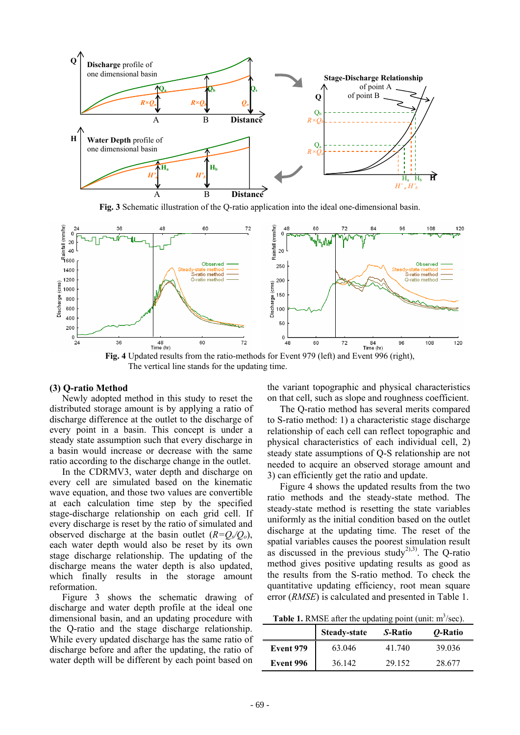

**Fig. 3** Schematic illustration of the Q-ratio application into the ideal one-dimensional basin.



**Fig. 4** Updated results from the ratio-methods for Event 979 (left) and Event 996 (right), The vertical line stands for the updating time.

#### **(3) Q-ratio Method**

Newly adopted method in this study to reset the distributed storage amount is by applying a ratio of discharge difference at the outlet to the discharge of every point in a basin. This concept is under a steady state assumption such that every discharge in a basin would increase or decrease with the same ratio according to the discharge change in the outlet.

In the CDRMV3, water depth and discharge on every cell are simulated based on the kinematic wave equation, and those two values are convertible at each calculation time step by the specified stage-discharge relationship on each grid cell. If every discharge is reset by the ratio of simulated and observed discharge at the basin outlet  $(R=Q_s/Q_o)$ , each water depth would also be reset by its own stage discharge relationship. The updating of the discharge means the water depth is also updated, which finally results in the storage amount reformation.

Figure 3 shows the schematic drawing of discharge and water depth profile at the ideal one dimensional basin, and an updating procedure with the Q-ratio and the stage discharge relationship. While every updated discharge has the same ratio of discharge before and after the updating, the ratio of water depth will be different by each point based on

the variant topographic and physical characteristics on that cell, such as slope and roughness coefficient.

The Q-ratio method has several merits compared to S-ratio method: 1) a characteristic stage discharge relationship of each cell can reflect topographic and physical characteristics of each individual cell, 2) steady state assumptions of Q-S relationship are not needed to acquire an observed storage amount and 3) can efficiently get the ratio and update.

Figure 4 shows the updated results from the two ratio methods and the steady-state method. The steady-state method is resetting the state variables uniformly as the initial condition based on the outlet discharge at the updating time. The reset of the spatial variables causes the poorest simulation result as discussed in the previous study<sup> $2$ </sup>),<sup>3</sup>. The O-ratio method gives positive updating results as good as the results from the S-ratio method. To check the quantitative updating efficiency, root mean square error (*RMSE*) is calculated and presented in Table 1.

**Table 1.** RMSE after the updating point (unit:  $m^3$ /sec).

|           | <b>Steady-state</b> | S-Ratio | O-Ratio |
|-----------|---------------------|---------|---------|
| Event 979 | 63.046              | 41 740  | 39.036  |
| Event 996 | 36.142              | 29 152  | 28.677  |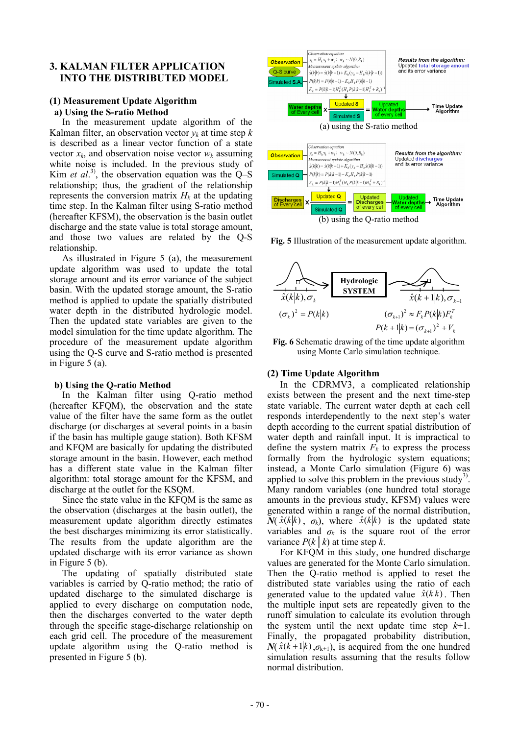## **3. KALMAN FILTER APPLICATION INTO THE DISTRIBUTED MODEL**

## **(1) Measurement Update Algorithm a) Using the S-ratio Method**

In the measurement update algorithm of the Kalman filter, an observation vector  $y_k$  at time step  $k$ is described as a linear vector function of a state vector  $x_k$ , and observation noise vector  $w_k$  assuming white noise is included. In the previous study of Kim *et al.*<sup>3</sup>, the observation equation was the  $Q-S$ relationship; thus, the gradient of the relationship represents the conversion matrix  $H_k$  at the updating time step. In the Kalman filter using S-ratio method (hereafter KFSM), the observation is the basin outlet discharge and the state value is total storage amount, and those two values are related by the Q-S relationship.

As illustrated in Figure 5 (a), the measurement update algorithm was used to update the total storage amount and its error variance of the subject basin. With the updated storage amount, the S-ratio method is applied to update the spatially distributed water depth in the distributed hydrologic model. Then the updated state variables are given to the model simulation for the time update algorithm. The procedure of the measurement update algorithm using the Q-S curve and S-ratio method is presented in Figure 5 (a).

#### **b) Using the Q-ratio Method**

In the Kalman filter using Q-ratio method (hereafter KFQM), the observation and the state value of the filter have the same form as the outlet discharge (or discharges at several points in a basin if the basin has multiple gauge station). Both KFSM and KFQM are basically for updating the distributed storage amount in the basin. However, each method has a different state value in the Kalman filter algorithm: total storage amount for the KFSM, and discharge at the outlet for the KSQM.

Since the state value in the KFQM is the same as the observation (discharges at the basin outlet), the measurement update algorithm directly estimates the best discharges minimizing its error statistically. The results from the update algorithm are the updated discharge with its error variance as shown in Figure 5 (b).

The updating of spatially distributed state variables is carried by Q-ratio method; the ratio of updated discharge to the simulated discharge is applied to every discharge on computation node, then the discharges converted to the water depth through the specific stage-discharge relationship on each grid cell. The procedure of the measurement update algorithm using the Q-ratio method is presented in Figure 5 (b).



**Fig. 5** Illustration of the measurement update algorithm.



**Fig. 6** Schematic drawing of the time update algorithm using Monte Carlo simulation technique.

## **(2) Time Update Algorithm**

In the CDRMV3, a complicated relationship exists between the present and the next time-step state variable. The current water depth at each cell responds interdependently to the next step's water depth according to the current spatial distribution of water depth and rainfall input. It is impractical to define the system matrix  $F_k$  to express the process formally from the hydrologic system equations; instead, a Monte Carlo simulation (Figure 6) was applied to solve this problem in the previous study<sup>3)</sup>. Many random variables (one hundred total storage amounts in the previous study, KFSM) values were generated within a range of the normal distribution,  $N(\hat{x}(k|k), \sigma_k)$ , where  $\hat{x}(k|k)$  is the updated state variables and  $\sigma_k$  is the square root of the error variance  $P(k \mid k)$  at time step *k*.

For KFQM in this study, one hundred discharge values are generated for the Monte Carlo simulation. Then the Q-ratio method is applied to reset the distributed state variables using the ratio of each generated value to the updated value  $\hat{x}(k|k)$ . Then the multiple input sets are repeatedly given to the runoff simulation to calculate its evolution through the system until the next update time step *k*+1. Finally, the propagated probability distribution,  $N(\hat{x}(k+1|k), \sigma_{k+1})$ , is acquired from the one hundred simulation results assuming that the results follow normal distribution.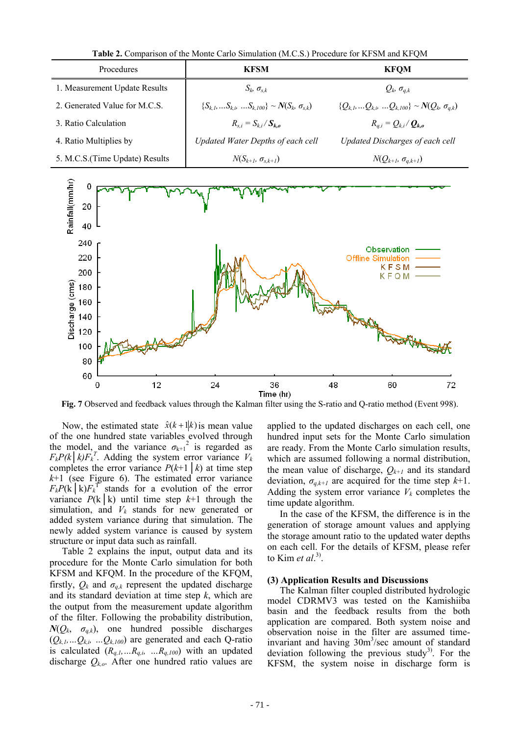



**Fig. 7** Observed and feedback values through the Kalman filter using the S-ratio and Q-ratio method (Event 998).

Now, the estimated state  $\hat{x}(k+1|k)$  is mean value of the one hundred state variables evolved through the model, and the variance  $\sigma_{k+1}^2$  is regarded as  $F_kP(k|k)F_k^T$ . Adding the system error variance  $V_k$ completes the error variance  $P(k+1 | k)$  at time step *k*+1 (see Figure 6). The estimated error variance  $F_kP(k \mid k)F_k$ <sup>T</sup> stands for a evolution of the error variance  $P(k|k)$  until time step  $k+1$  through the simulation, and  $V_k$  stands for new generated or added system variance during that simulation. The newly added system variance is caused by system structure or input data such as rainfall.

Table 2 explains the input, output data and its procedure for the Monte Carlo simulation for both KFSM and KFQM. In the procedure of the KFQM, firstly,  $Q_k$  and  $\sigma_{q,k}$  represent the updated discharge and its standard deviation at time step *k*, which are the output from the measurement update algorithm of the filter. Following the probability distribution,  $N(Q_k, \sigma_{q,k})$ , one hundred possible discharges  $(Q_{k,l},...Q_{k,i},...Q_{k,l00})$  are generated and each Q-ratio is calculated  $(R_{q,l},...R_{q,i},...,R_{q,l00})$  with an updated discharge *Qk,o*. After one hundred ratio values are

applied to the updated discharges on each cell, one hundred input sets for the Monte Carlo simulation are ready. From the Monte Carlo simulation results, which are assumed following a normal distribution, the mean value of discharge,  $Q_{k+1}$  and its standard deviation,  $\sigma_{q,k+1}$  are acquired for the time step  $k+1$ . Adding the system error variance  $V_k$  completes the time update algorithm.

In the case of the KFSM, the difference is in the generation of storage amount values and applying the storage amount ratio to the updated water depths on each cell. For the details of KFSM, please refer to Kim *et al*. 3).

#### **(3) Application Results and Discussions**

The Kalman filter coupled distributed hydrologic model CDRMV3 was tested on the Kamishiiba basin and the feedback results from the both application are compared. Both system noise and observation noise in the filter are assumed timeinvariant and having 30m<sup>3</sup>/sec amount of standard deviation following the previous study<sup>3)</sup>. For the KFSM, the system noise in discharge form is